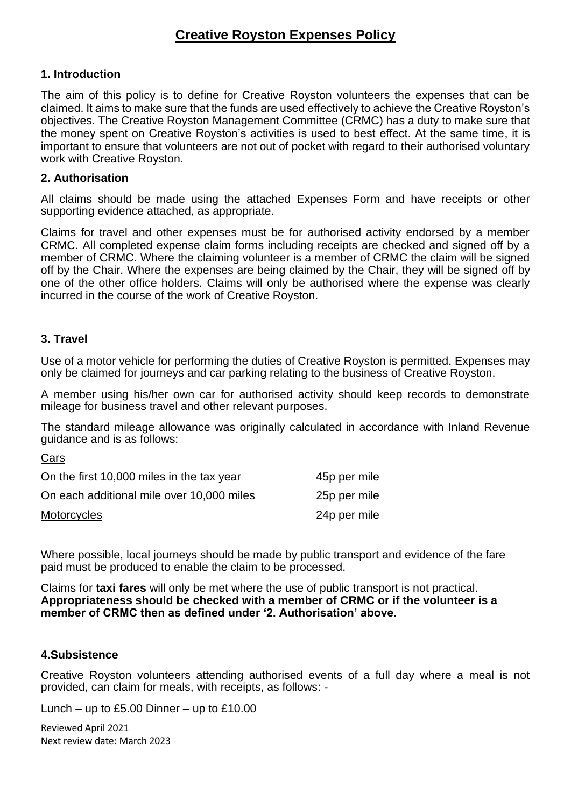# **Creative Royston Expenses Policy**

### **1. Introduction**

The aim of this policy is to define for Creative Royston volunteers the expenses that can be claimed. It aims to make sure that the funds are used effectively to achieve the Creative Royston's objectives. The Creative Royston Management Committee (CRMC) has a duty to make sure that the money spent on Creative Royston's activities is used to best effect. At the same time, it is important to ensure that volunteers are not out of pocket with regard to their authorised voluntary work with Creative Royston.

### **2. Authorisation**

All claims should be made using the attached Expenses Form and have receipts or other supporting evidence attached, as appropriate.

Claims for travel and other expenses must be for authorised activity endorsed by a member CRMC. All completed expense claim forms including receipts are checked and signed off by a member of CRMC. Where the claiming volunteer is a member of CRMC the claim will be signed off by the Chair. Where the expenses are being claimed by the Chair, they will be signed off by one of the other office holders. Claims will only be authorised where the expense was clearly incurred in the course of the work of Creative Royston.

### **3. Travel**

Use of a motor vehicle for performing the duties of Creative Royston is permitted. Expenses may only be claimed for journeys and car parking relating to the business of Creative Royston.

A member using his/her own car for authorised activity should keep records to demonstrate mileage for business travel and other relevant purposes.

The standard mileage allowance was originally calculated in accordance with Inland Revenue guidance and is as follows:

Cars

| On the first 10,000 miles in the tax year | 45p per mile |
|-------------------------------------------|--------------|
| On each additional mile over 10,000 miles | 25p per mile |
| Motorcycles                               | 24p per mile |

Where possible, local journeys should be made by public transport and evidence of the fare paid must be produced to enable the claim to be processed.

Claims for **taxi fares** will only be met where the use of public transport is not practical. **Appropriateness should be checked with a member of CRMC or if the volunteer is a member of CRMC then as defined under '2. Authorisation' above.**

### **4.Subsistence**

Creative Royston volunteers attending authorised events of a full day where a meal is not provided, can claim for meals, with receipts, as follows: -

Lunch – up to  $£5.00$  Dinner – up to  $£10.00$ 

Reviewed April 2021 Next review date: March 2023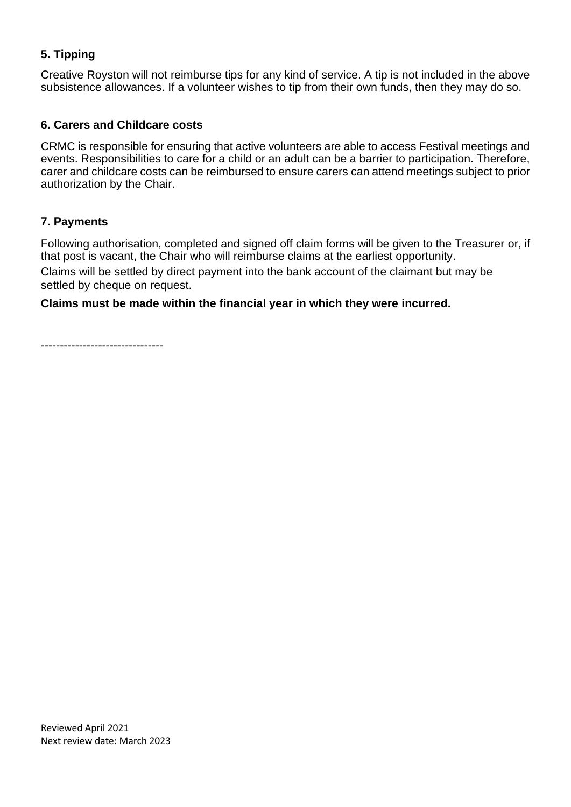# **5. Tipping**

Creative Royston will not reimburse tips for any kind of service. A tip is not included in the above subsistence allowances. If a volunteer wishes to tip from their own funds, then they may do so.

### **6. Carers and Childcare costs**

CRMC is responsible for ensuring that active volunteers are able to access Festival meetings and events. Responsibilities to care for a child or an adult can be a barrier to participation. Therefore, carer and childcare costs can be reimbursed to ensure carers can attend meetings subject to prior authorization by the Chair.

### **7. Payments**

Following authorisation, completed and signed off claim forms will be given to the Treasurer or, if that post is vacant, the Chair who will reimburse claims at the earliest opportunity.

Claims will be settled by direct payment into the bank account of the claimant but may be settled by cheque on request.

### **Claims must be made within the financial year in which they were incurred.**

--------------------------------